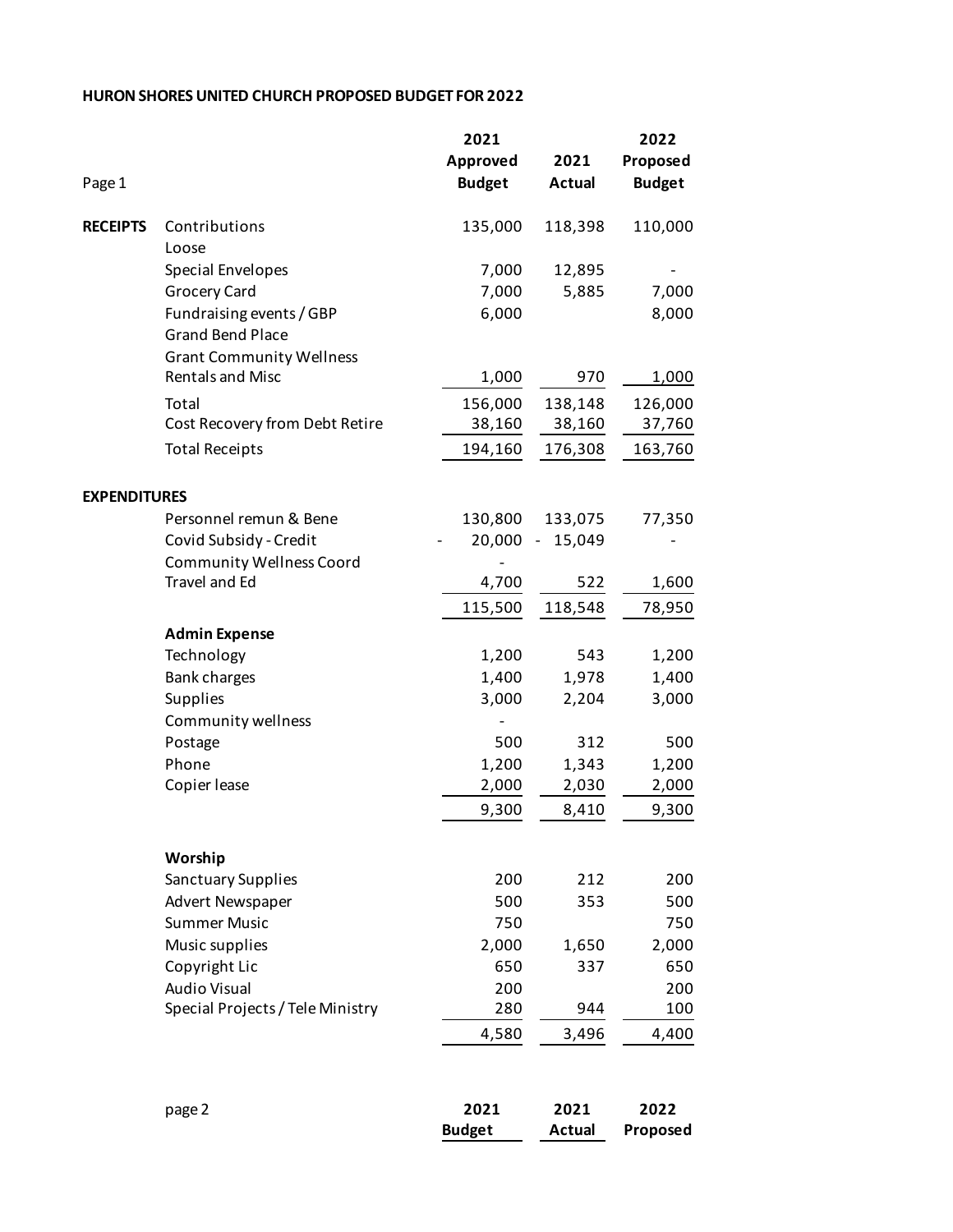## **HURON SHORES UNITED CHURCH PROPOSED BUDGET FOR 2022**

|                     |                                    | 2021          |                  | 2022          |
|---------------------|------------------------------------|---------------|------------------|---------------|
|                     |                                    | Approved      | 2021             | Proposed      |
| Page 1              |                                    | <b>Budget</b> | <b>Actual</b>    | <b>Budget</b> |
| <b>RECEIPTS</b>     | Contributions                      | 135,000       | 118,398          | 110,000       |
|                     | Loose                              |               |                  |               |
|                     | <b>Special Envelopes</b>           | 7,000         | 12,895           |               |
|                     | <b>Grocery Card</b>                | 7,000         | 5,885            | 7,000         |
|                     | Fundraising events / GBP           | 6,000         |                  | 8,000         |
|                     | <b>Grand Bend Place</b>            |               |                  |               |
|                     | <b>Grant Community Wellness</b>    |               |                  |               |
|                     | <b>Rentals and Misc</b>            | 1,000         | 970              | 1,000         |
|                     | Total                              | 156,000       | 138,148          | 126,000       |
|                     | Cost Recovery from Debt Retire     | 38,160        | 38,160           | 37,760        |
|                     | <b>Total Receipts</b>              | 194,160       | 176,308          | 163,760       |
|                     |                                    |               |                  |               |
| <b>EXPENDITURES</b> | Personnel remun & Bene             | 130,800       | 133,075          | 77,350        |
|                     | Covid Subsidy - Credit             | 20,000        | 15,049<br>$\sim$ |               |
|                     | <b>Community Wellness Coord</b>    |               |                  |               |
|                     | <b>Travel and Ed</b>               | 4,700         | 522              | 1,600         |
|                     |                                    | 115,500       | 118,548          | 78,950        |
|                     |                                    |               |                  |               |
|                     | <b>Admin Expense</b><br>Technology | 1,200         | 543              | 1,200         |
|                     | <b>Bank charges</b>                | 1,400         | 1,978            | 1,400         |
|                     | <b>Supplies</b>                    | 3,000         | 2,204            | 3,000         |
|                     | Community wellness                 |               |                  |               |
|                     | Postage                            | 500           | 312              | 500           |
|                     | Phone                              | 1,200         | 1,343            | 1,200         |
|                     | Copier lease                       | 2,000         | 2,030            | 2,000         |
|                     |                                    | 9,300         | 8,410            | 9,300         |
|                     |                                    |               |                  |               |
|                     | Worship                            |               |                  |               |
|                     | Sanctuary Supplies                 | 200           | 212              | 200           |
|                     | Advert Newspaper                   | 500           | 353              | 500           |
|                     | <b>Summer Music</b>                | 750           |                  | 750           |
|                     | Music supplies                     | 2,000         | 1,650            | 2,000         |
|                     | Copyright Lic                      | 650           | 337              | 650           |
|                     | <b>Audio Visual</b>                | 200           |                  | 200           |
|                     | Special Projects / Tele Ministry   | 280           | 944              | 100           |
|                     |                                    | 4,580         | 3,496            | 4,400         |
|                     | page 2                             | 2021          | 2021             | 2022          |
|                     |                                    | <b>Budget</b> | <b>Actual</b>    | Proposed      |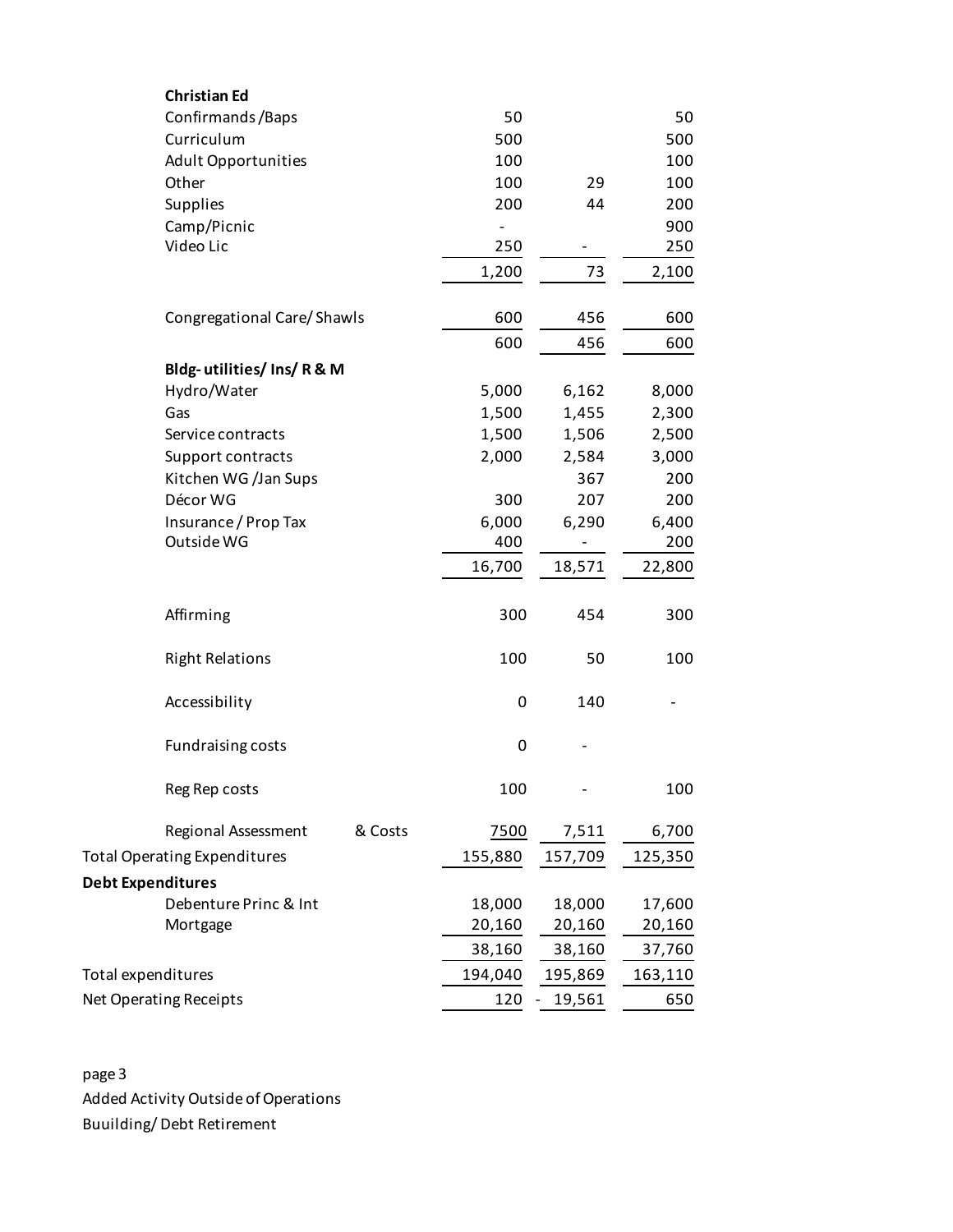| <b>Christian Ed</b>                 |         |                          |                              |         |
|-------------------------------------|---------|--------------------------|------------------------------|---------|
| Confirmands/Baps                    |         | 50                       |                              | 50      |
| Curriculum                          |         | 500                      |                              | 500     |
| <b>Adult Opportunities</b>          |         | 100                      |                              | 100     |
| Other                               |         | 100                      | 29                           | 100     |
| Supplies                            |         | 200                      | 44                           | 200     |
| Camp/Picnic                         |         | $\overline{\phantom{a}}$ |                              | 900     |
| Video Lic                           |         | 250                      |                              | 250     |
|                                     |         | 1,200                    | 73                           | 2,100   |
| Congregational Care/Shawls          |         | 600                      | 456                          | 600     |
|                                     |         | 600                      | 456                          | 600     |
| Bldg-utilities/Ins/R&M              |         |                          |                              |         |
| Hydro/Water                         |         | 5,000                    | 6,162                        | 8,000   |
| Gas                                 |         | 1,500                    | 1,455                        | 2,300   |
| Service contracts                   |         | 1,500                    | 1,506                        | 2,500   |
| Support contracts                   |         | 2,000                    | 2,584                        | 3,000   |
| Kitchen WG /Jan Sups                |         |                          | 367                          | 200     |
| Décor WG                            |         | 300                      | 207                          | 200     |
| Insurance / Prop Tax                |         | 6,000                    | 6,290                        | 6,400   |
| Outside WG                          |         | 400                      |                              | 200     |
|                                     |         | 16,700                   | 18,571                       | 22,800  |
| Affirming                           |         | 300                      | 454                          | 300     |
| <b>Right Relations</b>              |         | 100                      | 50                           | 100     |
| Accessibility                       |         | 0                        | 140                          |         |
| <b>Fundraising costs</b>            |         | 0                        |                              |         |
| Reg Rep costs                       |         | 100                      | $\qquad \qquad \blacksquare$ | 100     |
| Regional Assessment                 | & Costs | 7500                     | 7,511                        | 6,700   |
| <b>Total Operating Expenditures</b> |         | 155,880                  | 157,709                      | 125,350 |
| <b>Debt Expenditures</b>            |         |                          |                              |         |
| Debenture Princ & Int               |         | 18,000                   | 18,000                       | 17,600  |
| Mortgage                            |         | 20,160                   | 20,160                       | 20,160  |
|                                     |         | 38,160                   | 38,160                       | 37,760  |
| Total expenditures                  | 194,040 | 195,869                  | 163,110                      |         |
| Net Operating Receipts              |         | 120                      | 19,561                       | 650     |

page 3 Added Activity Outside of Operations Buuilding/ Debt Retirement